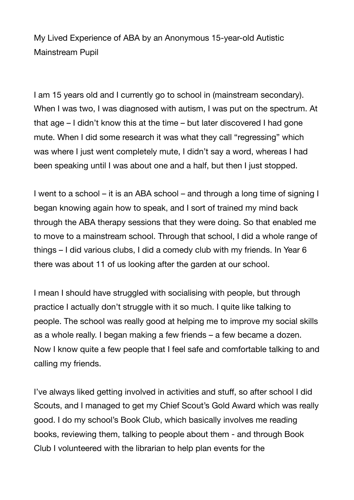My Lived Experience of ABA by an Anonymous 15-year-old Autistic Mainstream Pupil

I am 15 years old and I currently go to school in (mainstream secondary). When I was two, I was diagnosed with autism, I was put on the spectrum. At that age – I didn't know this at the time – but later discovered I had gone mute. When I did some research it was what they call "regressing" which was where I just went completely mute, I didn't say a word, whereas I had been speaking until I was about one and a half, but then I just stopped.

I went to a school – it is an ABA school – and through a long time of signing I began knowing again how to speak, and I sort of trained my mind back through the ABA therapy sessions that they were doing. So that enabled me to move to a mainstream school. Through that school, I did a whole range of things – I did various clubs, I did a comedy club with my friends. In Year 6 there was about 11 of us looking after the garden at our school.

I mean I should have struggled with socialising with people, but through practice I actually don't struggle with it so much. I quite like talking to people. The school was really good at helping me to improve my social skills as a whole really. I began making a few friends – a few became a dozen. Now I know quite a few people that I feel safe and comfortable talking to and calling my friends.

I've always liked getting involved in activities and stuff, so after school I did Scouts, and I managed to get my Chief Scout's Gold Award which was really good. I do my school's Book Club, which basically involves me reading books, reviewing them, talking to people about them - and through Book Club I volunteered with the librarian to help plan events for the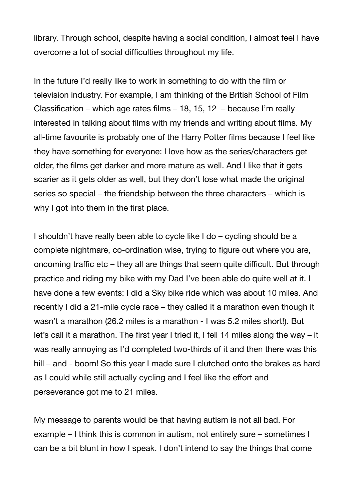library. Through school, despite having a social condition, I almost feel I have overcome a lot of social difficulties throughout my life.

In the future I'd really like to work in something to do with the film or television industry. For example, I am thinking of the British School of Film Classification – which age rates films – 18, 15, 12 – because I'm really interested in talking about films with my friends and writing about films. My all-time favourite is probably one of the Harry Potter films because I feel like they have something for everyone: I love how as the series/characters get older, the films get darker and more mature as well. And I like that it gets scarier as it gets older as well, but they don't lose what made the original series so special – the friendship between the three characters – which is why I got into them in the first place.

I shouldn't have really been able to cycle like I do – cycling should be a complete nightmare, co-ordination wise, trying to figure out where you are, oncoming traffic etc – they all are things that seem quite difficult. But through practice and riding my bike with my Dad I've been able do quite well at it. I have done a few events: I did a Sky bike ride which was about 10 miles. And recently I did a 21-mile cycle race – they called it a marathon even though it wasn't a marathon (26.2 miles is a marathon - I was 5.2 miles short!). But let's call it a marathon. The first year I tried it, I fell 14 miles along the way – it was really annoying as I'd completed two-thirds of it and then there was this hill – and - boom! So this year I made sure I clutched onto the brakes as hard as I could while still actually cycling and I feel like the effort and perseverance got me to 21 miles.

My message to parents would be that having autism is not all bad. For example – I think this is common in autism, not entirely sure – sometimes I can be a bit blunt in how I speak. I don't intend to say the things that come